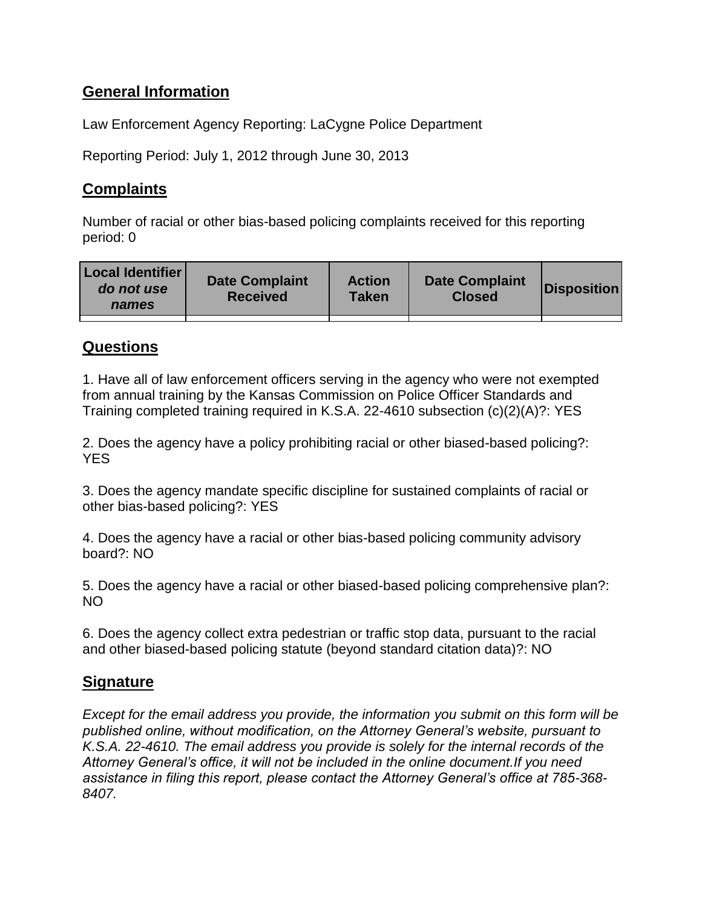# **General Information**

Law Enforcement Agency Reporting: LaCygne Police Department

Reporting Period: July 1, 2012 through June 30, 2013

## **Complaints**

Number of racial or other bias-based policing complaints received for this reporting period: 0

| <b>Local Identifier</b><br>do not use<br>names | <b>Date Complaint</b><br><b>Received</b> | <b>Action</b><br>Taken | <b>Date Complaint</b><br><b>Closed</b> | Disposition |
|------------------------------------------------|------------------------------------------|------------------------|----------------------------------------|-------------|
|                                                |                                          |                        |                                        |             |

### **Questions**

1. Have all of law enforcement officers serving in the agency who were not exempted from annual training by the Kansas Commission on Police Officer Standards and Training completed training required in K.S.A. 22-4610 subsection (c)(2)(A)?: YES

2. Does the agency have a policy prohibiting racial or other biased-based policing?: **YES** 

3. Does the agency mandate specific discipline for sustained complaints of racial or other bias-based policing?: YES

4. Does the agency have a racial or other bias-based policing community advisory board?: NO

5. Does the agency have a racial or other biased-based policing comprehensive plan?: NO

6. Does the agency collect extra pedestrian or traffic stop data, pursuant to the racial and other biased-based policing statute (beyond standard citation data)?: NO

### **Signature**

*Except for the email address you provide, the information you submit on this form will be published online, without modification, on the Attorney General's website, pursuant to K.S.A. 22-4610. The email address you provide is solely for the internal records of the Attorney General's office, it will not be included in the online document.If you need assistance in filing this report, please contact the Attorney General's office at 785-368- 8407.*